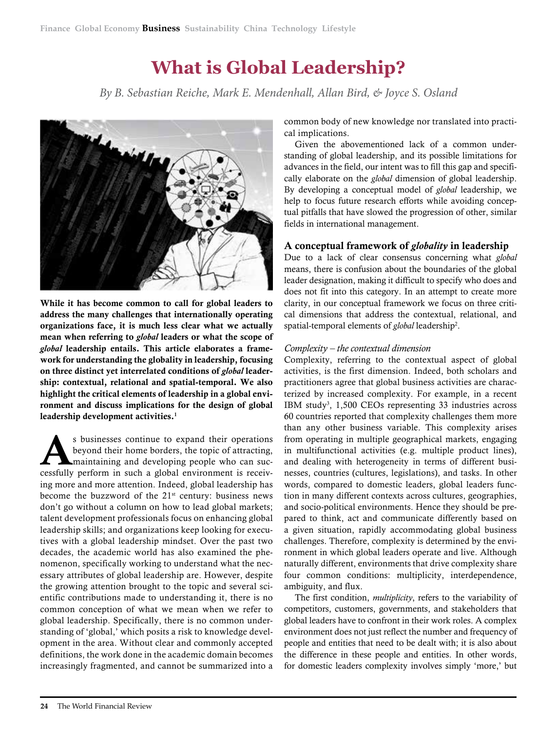# **What is Global Leadership?**

*By B. Sebastian Reiche, Mark E. Mendenhall, Allan Bird, & Joyce S. Osland*



While it has become common to call for global leaders to address the many challenges that internationally operating organizations face, it is much less clear what we actually mean when referring to *global* leaders or what the scope of *global* leadership entails. This article elaborates a framework for understanding the globality in leadership, focusing on three distinct yet interrelated conditions of *global* leadership: contextual, relational and spatial-temporal. We also highlight the critical elements of leadership in a global environment and discuss implications for the design of global leadership development activities.<sup>1</sup>

s businesses continue to expand their operations<br>beyond their home borders, the topic of attracting,<br>maintaining and developing people who can suc-<br>coordilly perform in such a global opyironment is receive beyond their home borders, the topic of attracting, cessfully perform in such a global environment is receiving more and more attention. Indeed, global leadership has become the buzzword of the  $21<sup>st</sup>$  century: business news don't go without a column on how to lead global markets; talent development professionals focus on enhancing global leadership skills; and organizations keep looking for executives with a global leadership mindset. Over the past two decades, the academic world has also examined the phenomenon, specifically working to understand what the necessary attributes of global leadership are. However, despite the growing attention brought to the topic and several scientific contributions made to understanding it, there is no common conception of what we mean when we refer to global leadership. Specifically, there is no common understanding of 'global,' which posits a risk to knowledge development in the area. Without clear and commonly accepted definitions, the work done in the academic domain becomes increasingly fragmented, and cannot be summarized into a

common body of new knowledge nor translated into practical implications.

Given the abovementioned lack of a common understanding of global leadership, and its possible limitations for advances in the field, our intent was to fill this gap and specifically elaborate on the *global* dimension of global leadership. By developing a conceptual model of *global* leadership, we help to focus future research efforts while avoiding conceptual pitfalls that have slowed the progression of other, similar fields in international management.

## A conceptual framework of *globality* in leadership

Due to a lack of clear consensus concerning what *global* means, there is confusion about the boundaries of the global leader designation, making it difficult to specify who does and does not fit into this category. In an attempt to create more clarity, in our conceptual framework we focus on three critical dimensions that address the contextual, relational, and spatial-temporal elements of *global* leadership2 .

#### *Complexity – the contextual dimension*

Complexity, referring to the contextual aspect of global activities, is the first dimension. Indeed, both scholars and practitioners agree that global business activities are characterized by increased complexity. For example, in a recent IBM study3 , 1,500 CEOs representing 33 industries across 60 countries reported that complexity challenges them more than any other business variable. This complexity arises from operating in multiple geographical markets, engaging in multifunctional activities (e.g. multiple product lines), and dealing with heterogeneity in terms of different businesses, countries (cultures, legislations), and tasks. In other words, compared to domestic leaders, global leaders function in many different contexts across cultures, geographies, and socio-political environments. Hence they should be prepared to think, act and communicate differently based on a given situation, rapidly accommodating global business challenges. Therefore, complexity is determined by the environment in which global leaders operate and live. Although naturally different, environments that drive complexity share four common conditions: multiplicity, interdependence, ambiguity, and flux.

The first condition, *multiplicity*, refers to the variability of competitors, customers, governments, and stakeholders that global leaders have to confront in their work roles. A complex environment does not just reflect the number and frequency of people and entities that need to be dealt with; it is also about the difference in these people and entities. In other words, for domestic leaders complexity involves simply 'more,' but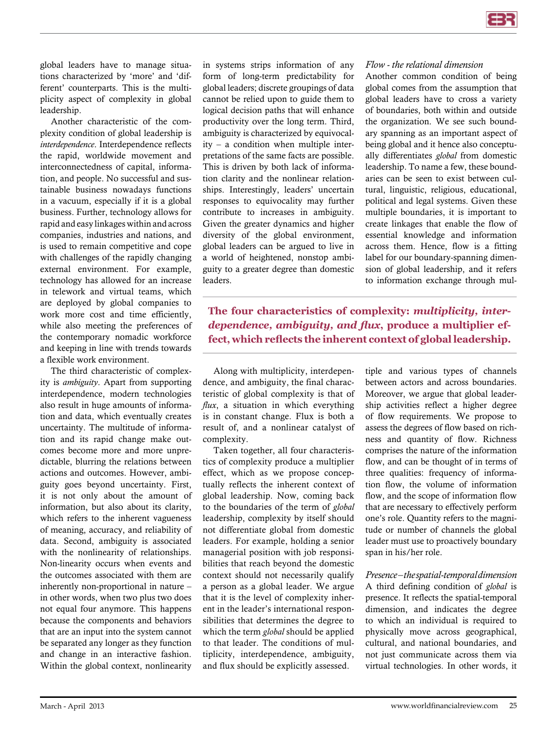global leaders have to manage situations characterized by 'more' and 'different' counterparts. This is the multiplicity aspect of complexity in global leadership.

Another characteristic of the complexity condition of global leadership is *interdependence*. Interdependence reflects the rapid, worldwide movement and interconnectedness of capital, information, and people. No successful and sustainable business nowadays functions in a vacuum, especially if it is a global business. Further, technology allows for rapid and easy linkages within and across companies, industries and nations, and is used to remain competitive and cope with challenges of the rapidly changing external environment. For example, technology has allowed for an increase in telework and virtual teams, which are deployed by global companies to work more cost and time efficiently, while also meeting the preferences of the contemporary nomadic workforce and keeping in line with trends towards a flexible work environment.

The third characteristic of complexity is *ambiguity*. Apart from supporting interdependence, modern technologies also result in huge amounts of information and data, which eventually creates uncertainty. The multitude of information and its rapid change make outcomes become more and more unpredictable, blurring the relations between actions and outcomes. However, ambiguity goes beyond uncertainty. First, it is not only about the amount of information, but also about its clarity, which refers to the inherent vagueness of meaning, accuracy, and reliability of data. Second, ambiguity is associated with the nonlinearity of relationships. Non-linearity occurs when events and the outcomes associated with them are inherently non-proportional in nature – in other words, when two plus two does not equal four anymore. This happens because the components and behaviors that are an input into the system cannot be separated any longer as they function and change in an interactive fashion. Within the global context, nonlinearity

in systems strips information of any form of long-term predictability for global leaders; discrete groupings of data cannot be relied upon to guide them to logical decision paths that will enhance productivity over the long term. Third, ambiguity is characterized by equivocal $ity - a$  condition when multiple interpretations of the same facts are possible. This is driven by both lack of information clarity and the nonlinear relationships. Interestingly, leaders' uncertain responses to equivocality may further contribute to increases in ambiguity. Given the greater dynamics and higher diversity of the global environment, global leaders can be argued to live in a world of heightened, nonstop ambiguity to a greater degree than domestic leaders.

#### *Flow - the relational dimension*

Another common condition of being global comes from the assumption that global leaders have to cross a variety of boundaries, both within and outside the organization. We see such boundary spanning as an important aspect of being global and it hence also conceptually differentiates *global* from domestic leadership. To name a few, these boundaries can be seen to exist between cultural, linguistic, religious, educational, political and legal systems. Given these multiple boundaries, it is important to create linkages that enable the flow of essential knowledge and information across them. Hence, flow is a fitting label for our boundary-spanning dimension of global leadership, and it refers to information exchange through mul-

**The four characteristics of complexity:** *multiplicity, interdependence, ambiguity, and flux***, produce a multiplier effect, which reflects the inherent context of global leadership.** 

Along with multiplicity, interdependence, and ambiguity, the final characteristic of global complexity is that of *flux*, a situation in which everything is in constant change. Flux is both a result of, and a nonlinear catalyst of complexity.

Taken together, all four characteristics of complexity produce a multiplier effect, which as we propose conceptually reflects the inherent context of global leadership. Now, coming back to the boundaries of the term of *global* leadership, complexity by itself should not differentiate global from domestic leaders. For example, holding a senior managerial position with job responsibilities that reach beyond the domestic context should not necessarily qualify a person as a global leader. We argue that it is the level of complexity inherent in the leader's international responsibilities that determines the degree to which the term *global* should be applied to that leader. The conditions of multiplicity, interdependence, ambiguity, and flux should be explicitly assessed.

tiple and various types of channels between actors and across boundaries. Moreover, we argue that global leadership activities reflect a higher degree of flow requirements. We propose to assess the degrees of flow based on richness and quantity of flow. Richness comprises the nature of the information flow, and can be thought of in terms of three qualities: frequency of information flow, the volume of information flow, and the scope of information flow that are necessary to effectively perform one's role. Quantity refers to the magnitude or number of channels the global leader must use to proactively boundary span in his/her role.

*Presence – the spatial-temporal dimension* A third defining condition of *global* is presence. It reflects the spatial-temporal dimension, and indicates the degree to which an individual is required to physically move across geographical, cultural, and national boundaries, and not just communicate across them via virtual technologies. In other words, it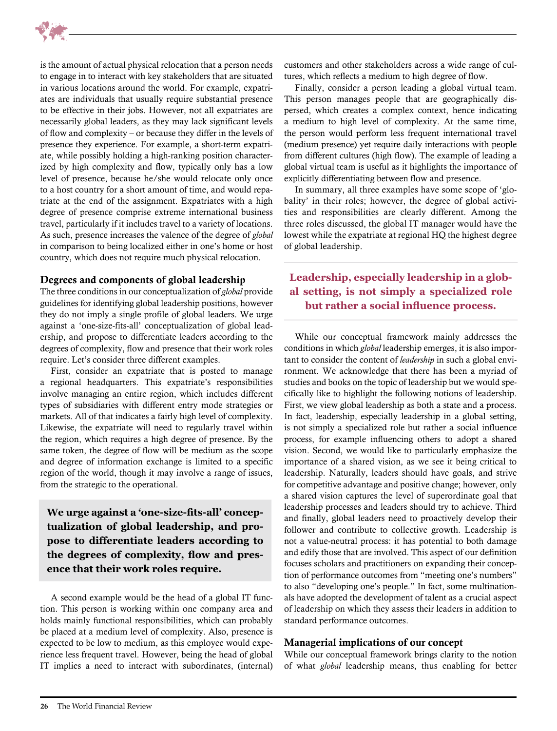

is the amount of actual physical relocation that a person needs to engage in to interact with key stakeholders that are situated in various locations around the world. For example, expatriates are individuals that usually require substantial presence to be effective in their jobs. However, not all expatriates are necessarily global leaders, as they may lack significant levels of flow and complexity – or because they differ in the levels of presence they experience. For example, a short-term expatriate, while possibly holding a high-ranking position characterized by high complexity and flow, typically only has a low level of presence, because he/she would relocate only once to a host country for a short amount of time, and would repatriate at the end of the assignment. Expatriates with a high degree of presence comprise extreme international business travel, particularly if it includes travel to a variety of locations. As such, presence increases the valence of the degree of *global* in comparison to being localized either in one's home or host country, which does not require much physical relocation.

#### Degrees and components of global leadership

The three conditions in our conceptualization of *global* provide guidelines for identifying global leadership positions, however they do not imply a single profile of global leaders. We urge against a 'one-size-fits-all' conceptualization of global leadership, and propose to differentiate leaders according to the degrees of complexity, flow and presence that their work roles require. Let's consider three different examples.

First, consider an expatriate that is posted to manage a regional headquarters. This expatriate's responsibilities involve managing an entire region, which includes different types of subsidiaries with different entry mode strategies or markets. All of that indicates a fairly high level of complexity. Likewise, the expatriate will need to regularly travel within the region, which requires a high degree of presence. By the same token, the degree of flow will be medium as the scope and degree of information exchange is limited to a specific region of the world, though it may involve a range of issues, from the strategic to the operational.

**We urge against a 'one-size-fits-all' conceptualization of global leadership, and propose to differentiate leaders according to the degrees of complexity, flow and presence that their work roles require.** 

A second example would be the head of a global IT function. This person is working within one company area and holds mainly functional responsibilities, which can probably be placed at a medium level of complexity. Also, presence is expected to be low to medium, as this employee would experience less frequent travel. However, being the head of global IT implies a need to interact with subordinates, (internal) customers and other stakeholders across a wide range of cultures, which reflects a medium to high degree of flow.

Finally, consider a person leading a global virtual team. This person manages people that are geographically dispersed, which creates a complex context, hence indicating a medium to high level of complexity. At the same time, the person would perform less frequent international travel (medium presence) yet require daily interactions with people from different cultures (high flow). The example of leading a global virtual team is useful as it highlights the importance of explicitly differentiating between flow and presence.

In summary, all three examples have some scope of 'globality' in their roles; however, the degree of global activities and responsibilities are clearly different. Among the three roles discussed, the global IT manager would have the lowest while the expatriate at regional HQ the highest degree of global leadership.

# **Leadership, especially leadership in a global setting, is not simply a specialized role but rather a social influence process.**

While our conceptual framework mainly addresses the conditions in which *global* leadership emerges, it is also important to consider the content of *leadership* in such a global environment. We acknowledge that there has been a myriad of studies and books on the topic of leadership but we would specifically like to highlight the following notions of leadership. First, we view global leadership as both a state and a process. In fact, leadership, especially leadership in a global setting, is not simply a specialized role but rather a social influence process, for example influencing others to adopt a shared vision. Second, we would like to particularly emphasize the importance of a shared vision, as we see it being critical to leadership. Naturally, leaders should have goals, and strive for competitive advantage and positive change; however, only a shared vision captures the level of superordinate goal that leadership processes and leaders should try to achieve. Third and finally, global leaders need to proactively develop their follower and contribute to collective growth. Leadership is not a value-neutral process: it has potential to both damage and edify those that are involved. This aspect of our definition focuses scholars and practitioners on expanding their conception of performance outcomes from "meeting one's numbers" to also "developing one's people." In fact, some multinationals have adopted the development of talent as a crucial aspect of leadership on which they assess their leaders in addition to standard performance outcomes.

## Managerial implications of our concept

While our conceptual framework brings clarity to the notion of what *global* leadership means, thus enabling for better